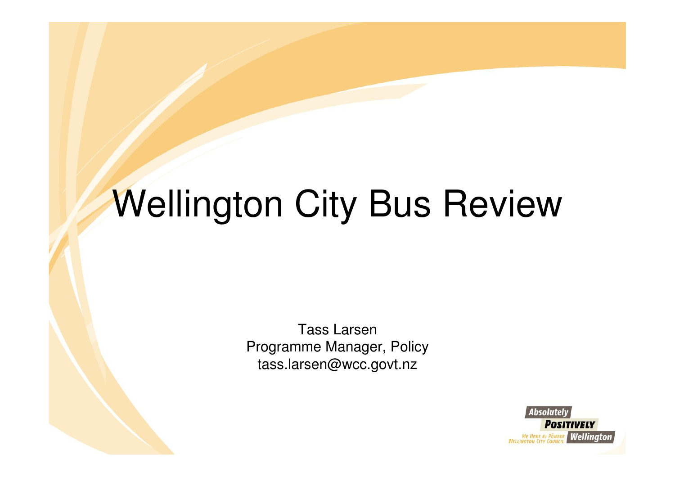# Wellington City Bus Review

Tass Larsen Programme Manager, Policytass.larsen@wcc.govt.nz

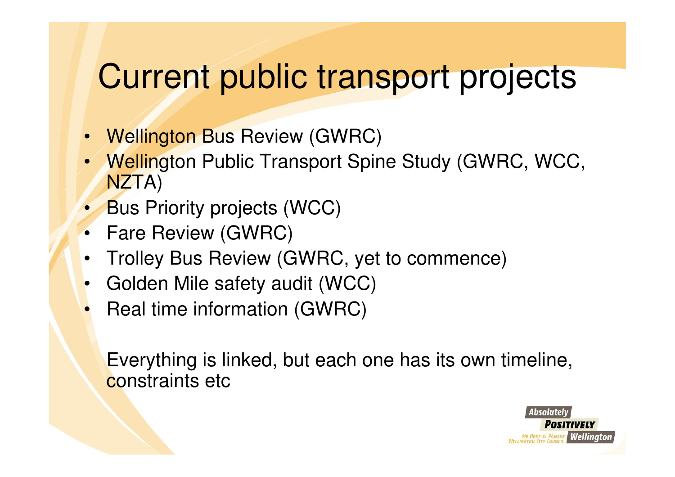### Current public transport projects

- Wellington Bus Review (GWRC)
- Wellington Public Transport Spine Study (GWRC, WCC, NZTA)
- Bus Priority projects (WCC)
- Fare Review (GWRC)
- Trolley Bus Review (GWRC, yet to commence)
- Golden Mile safety audit (WCC)
- Real time information (GWRC)

Everything is linked, but each one has its own timeline, constraints etc

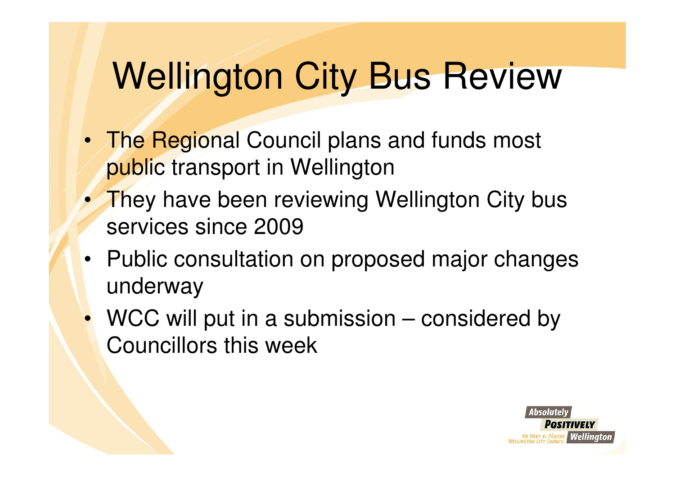## Wellington City Bus Review

- The Regional Council plans and funds most public transport in Wellington
- They have been reviewing Wellington City bus services since 2009
- Public consultation on proposed major changes underway
- WCC will put in a submission considered by Councillors this week

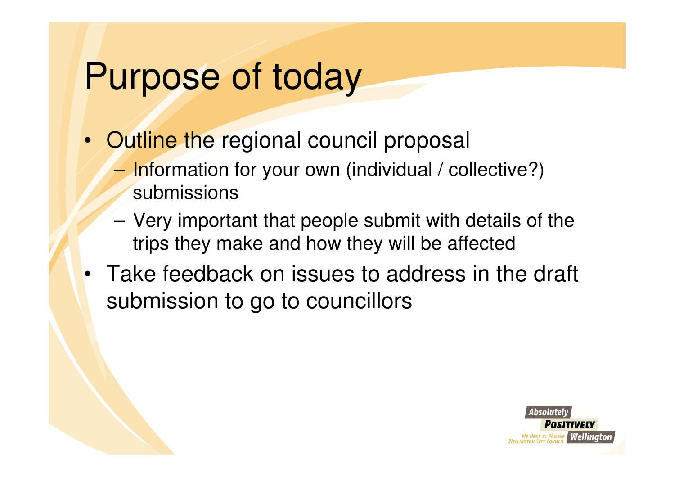## Purpose of today

- Outline the regional council proposal
	- –Information for your own (individual / collective?) submissions
	- – Very important that people submit with details of the trips they make and how they will be affected
- Take feedback on issues to address in the draft submission to go to councillors

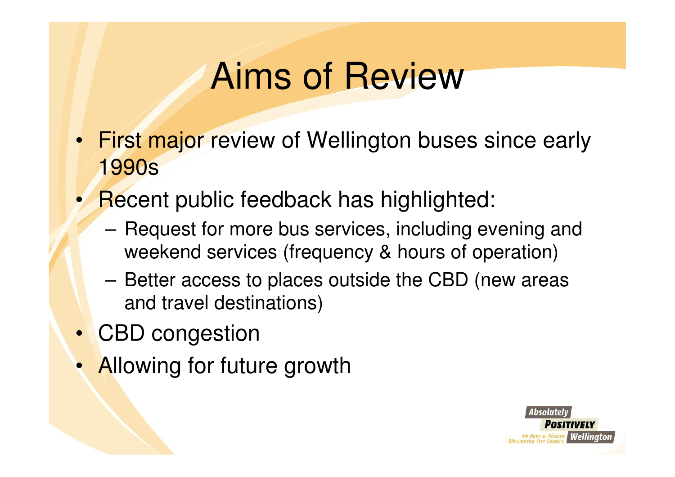## Aims of Review

- First major review of Wellington buses since early1990s
- • Recent public feedback has highlighted:
	- – Request for more bus services, including evening and weekend services (frequency & hours of operation)
	- – Better access to places outside the CBD (new areasand travel destinations)
- CBD congestion
- Allowing for future growth

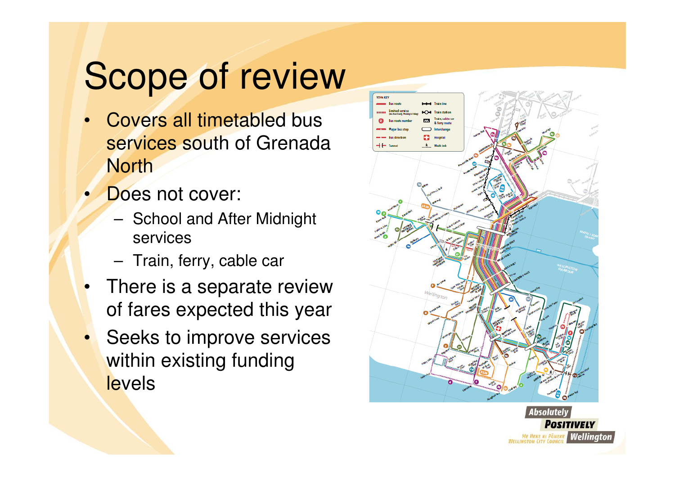# Scope of review

- Covers all timetabled bus  $\bullet$ services south of Grenada **North**
- •**Does not cover:** 
	- – School and After Midnight services
	- –Train, ferry, cable car
- • There is a separate review of fares expected this year
- •Seeks to improve services within existing funding **levels**



ME HEKE KI PÖNEKE **Wellinator** 

**WELLINGTON CITY C**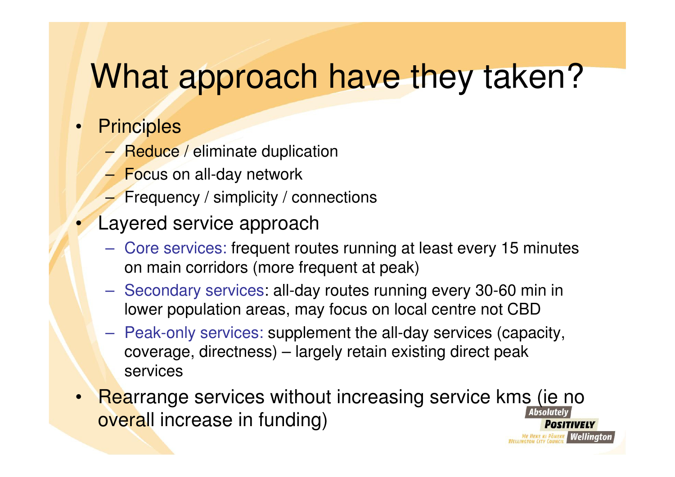### What approach have they taken?

#### • Principles

 $\bullet$ 

- –Reduce / eliminate duplication
- –Focus on all-day network
- –Frequency / simplicity / connections
- Layered service approach
	- – Core services: frequent routes running at least every 15 minutes on main corridors (more frequent at peak)
	- $\mathcal{L}_{\mathcal{A}}$  , and the set of the set of the set of the set of the set of the set of the set of the set of the set of the set of the set of the set of the set of the set of the set of the set of the set of the set of th Secondary services: all-day routes running every 30-60 min in lower population areas, may focus on local centre not CBD
	- $\mathcal{L}_{\mathcal{A}}$  Peak-only services: supplement the all-day services (capacity, coverage, directness) – largely retain existing direct peak services
- Rearrange services without increasing service kms (ie no •overall increase in funding)POSITIVELY **HEKE KI PÖNEKE Wellinaton**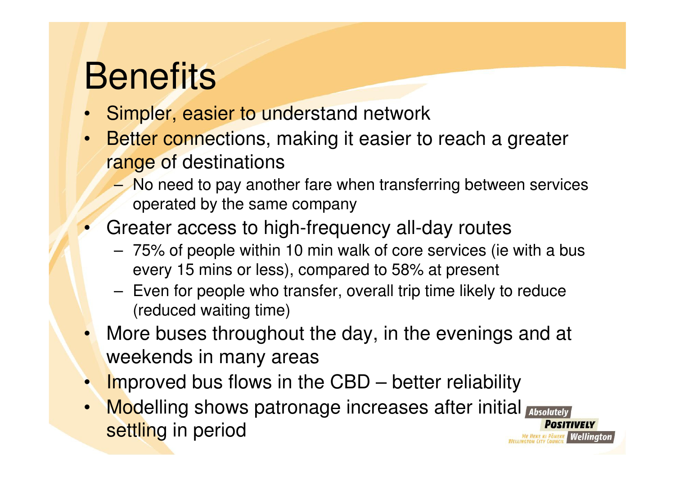# **Benefits**

- Simpler, easier to understand network•
- • Better connections, making it easier to reach a greater range of destinations
	- – No need to pay another fare when transferring between services operated by the same company
- Greater access to high-frequency all-day routes
	- – 75% of people within 10 min walk of core services (ie with a bus every 15 mins or less), compared to 58% at present
	- – Even for people who transfer, overall trip time likely to reduce(reduced waiting time)
- More buses throughout the day, in the evenings and at weekends in many areas
- •**Improved bus flows in the CBD – better reliability**
- Modelling shows patronage increases after initial settling in period **HEKE KI PÖNEKE Wellington**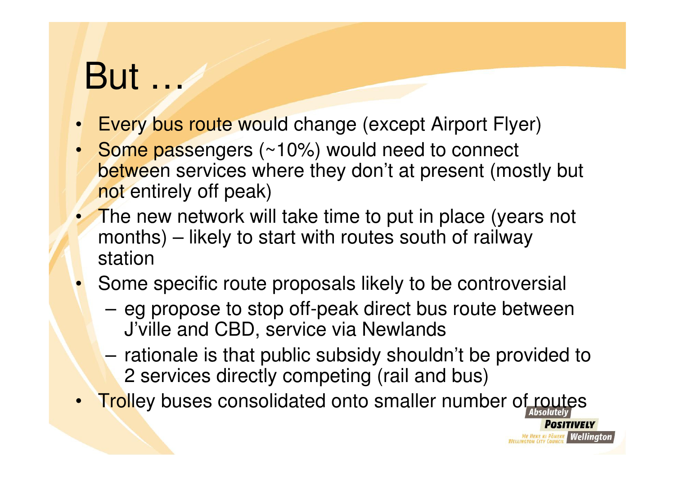## But …

- Every bus route would change (except Airport Flyer)
- • Some passengers (~10%) would need to connect between services where they don't at present (mostly but not entirely off peak)
- The new network will take time to put in place (years not months) – likely to start with routes south of railway station
- Some specific route proposals likely to be controversial •
	- – eg propose to stop off-peak direct bus route between J'ville and CBD, service via Newlands
	- – rationale is that public subsidy shouldn't be provided to 2 services directly competing (rail and bus)

**HEKE KI PÖNEKE Wellington** 

•**Trolley buses consolidated onto smaller number of routes**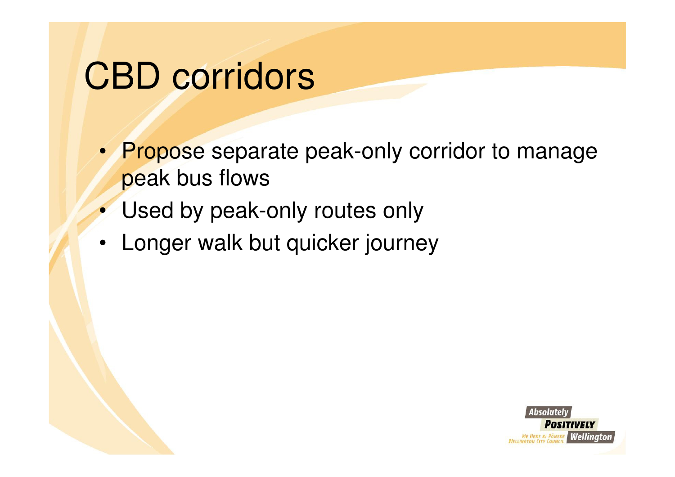## CBD corridors

- Propose separate peak-only corridor to manage peak bus flows
- Used by peak-only routes only
- Longer walk but quicker journey